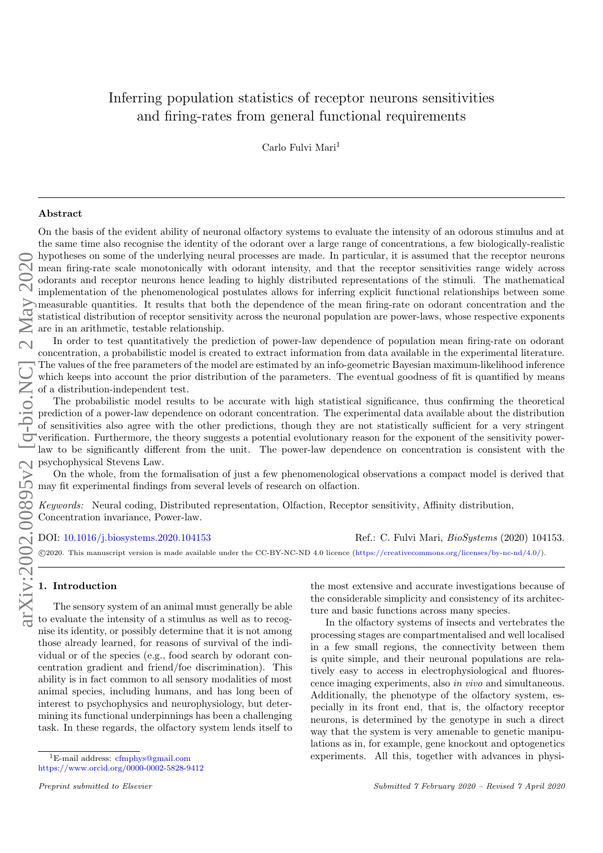# Inferring population statistics of receptor neurons sensitivities and firing-rates from general functional requirements

Carlo Fulvi Mari<sup>1</sup>

# Abstract

On the basis of the evident ability of neuronal olfactory systems to evaluate the intensity of an odorous stimulus and at the same time also recognise the identity of the odorant over a large range of concentrations, a few biologically-realistic hypotheses on some of the underlying neural processes are made. In particular, it is assumed that the receptor neurons mean firing-rate scale monotonically with odorant intensity, and that the receptor sensitivities range widely across odorants and receptor neurons hence leading to highly distributed representations of the stimuli. The mathematical implementation of the phenomenological postulates allows for inferring explicit functional relationships between some measurable quantities. It results that both the dependence of the mean firing-rate on odorant concentration and the statistical distribution of receptor sensitivity across the neuronal population are power-laws, whose respective exponents are in an arithmetic, testable relationship.

In order to test quantitatively the prediction of power-law dependence of population mean firing-rate on odorant concentration, a probabilistic model is created to extract information from data available in the experimental literature. The values of the free parameters of the model are estimated by an info-geometric Bayesian maximum-likelihood inference which keeps into account the prior distribution of the parameters. The eventual goodness of fit is quantified by means of a distribution-independent test.

The probabilistic model results to be accurate with high statistical significance, thus confirming the theoretical prediction of a power-law dependence on odorant concentration. The experimental data available about the distribution of sensitivities also agree with the other predictions, though they are not statistically sufficient for a very stringent verification. Furthermore, the theory suggests a potential evolutionary reason for the exponent of the sensitivity powerlaw to be significantly different from the unit. The power-law dependence on concentration is consistent with the psychophysical Stevens Law.

On the whole, from the formalisation of just a few phenomenological observations a compact model is derived that may fit experimental findings from several levels of research on olfaction.

Keywords: Neural coding, Distributed representation, Olfaction, Receptor sensitivity, Affinity distribution, Concentration invariance, Power-law.

DOI: [10.1016/j.biosystems.2020.104153](https://doi.org/10.1016/j.biosystems.2020.104153) Ref.: C. Fulvi Mari, BioSystems (2020) 104153.

c 2020. This manuscript version is made available under the CC-BY-NC-ND 4.0 licence [\(https://creativecommons.org/licenses/by-nc-nd/4.0/\)](https://creativecommons.org/licenses/by-nc-nd/4.0/).

# 1. Introduction

The sensory system of an animal must generally be able to evaluate the intensity of a stimulus as well as to recognise its identity, or possibly determine that it is not among those already learned, for reasons of survival of the individual or of the species (e.g., food search by odorant concentration gradient and friend/foe discrimination). This ability is in fact common to all sensory modalities of most animal species, including humans, and has long been of interest to psychophysics and neurophysiology, but determining its functional underpinnings has been a challenging task. In these regards, the olfactory system lends itself to

the most extensive and accurate investigations because of the considerable simplicity and consistency of its architecture and basic functions across many species.

In the olfactory systems of insects and vertebrates the processing stages are compartmentalised and well localised in a few small regions, the connectivity between them is quite simple, and their neuronal populations are relatively easy to access in electrophysiological and fluorescence imaging experiments, also in vivo and simultaneous. Additionally, the phenotype of the olfactory system, especially in its front end, that is, the olfactory receptor neurons, is determined by the genotype in such a direct way that the system is very amenable to genetic manipulations as in, for example, gene knockout and optogenetics experiments. All this, together with advances in physi-

<sup>1</sup>E-mail address: [cfmphys@gmail.com](mailto:cfmphys@gmail.com) <https://www.orcid.org/0000-0002-5828-9412>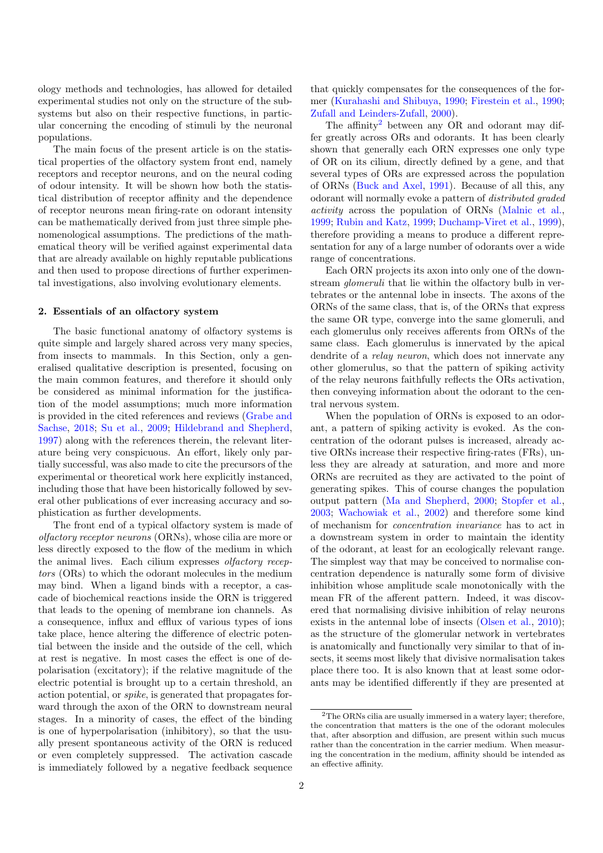ology methods and technologies, has allowed for detailed experimental studies not only on the structure of the subsystems but also on their respective functions, in particular concerning the encoding of stimuli by the neuronal populations.

The main focus of the present article is on the statistical properties of the olfactory system front end, namely receptors and receptor neurons, and on the neural coding of odour intensity. It will be shown how both the statistical distribution of receptor affinity and the dependence of receptor neurons mean firing-rate on odorant intensity can be mathematically derived from just three simple phenomenological assumptions. The predictions of the mathematical theory will be verified against experimental data that are already available on highly reputable publications and then used to propose directions of further experimental investigations, also involving evolutionary elements.

#### <span id="page-1-1"></span>2. Essentials of an olfactory system

The basic functional anatomy of olfactory systems is quite simple and largely shared across very many species, from insects to mammals. In this Section, only a generalised qualitative description is presented, focusing on the main common features, and therefore it should only be considered as minimal information for the justification of the model assumptions; much more information is provided in the cited references and reviews [\(Grabe and](#page-8-0) [Sachse,](#page-8-0) [2018;](#page-8-0) [Su et al.,](#page-8-1) [2009;](#page-8-1) [Hildebrand and Shepherd,](#page-8-2) [1997\)](#page-8-2) along with the references therein, the relevant literature being very conspicuous. An effort, likely only partially successful, was also made to cite the precursors of the experimental or theoretical work here explicitly instanced, including those that have been historically followed by several other publications of ever increasing accuracy and sophistication as further developments.

The front end of a typical olfactory system is made of olfactory receptor neurons (ORNs), whose cilia are more or less directly exposed to the flow of the medium in which the animal lives. Each cilium expresses olfactory receptors (ORs) to which the odorant molecules in the medium may bind. When a ligand binds with a receptor, a cascade of biochemical reactions inside the ORN is triggered that leads to the opening of membrane ion channels. As a consequence, influx and efflux of various types of ions take place, hence altering the difference of electric potential between the inside and the outside of the cell, which at rest is negative. In most cases the effect is one of depolarisation (excitatory); if the relative magnitude of the electric potential is brought up to a certain threshold, an action potential, or spike, is generated that propagates forward through the axon of the ORN to downstream neural stages. In a minority of cases, the effect of the binding is one of hyperpolarisation (inhibitory), so that the usually present spontaneous activity of the ORN is reduced or even completely suppressed. The activation cascade is immediately followed by a negative feedback sequence

that quickly compensates for the consequences of the former [\(Kurahashi and Shibuya,](#page-8-3) [1990;](#page-8-3) [Firestein et al.,](#page-8-4) [1990;](#page-8-4) [Zufall and Leinders-Zufall,](#page-8-5) [2000\)](#page-8-5).

The affinity<sup>[2](#page-1-0)</sup> between any OR and odorant may differ greatly across ORs and odorants. It has been clearly shown that generally each ORN expresses one only type of OR on its cilium, directly defined by a gene, and that several types of ORs are expressed across the population of ORNs [\(Buck and Axel,](#page-8-6) [1991\)](#page-8-6). Because of all this, any odorant will normally evoke a pattern of distributed graded activity across the population of ORNs [\(Malnic et al.,](#page-8-7) [1999;](#page-8-7) [Rubin and Katz,](#page-8-8) [1999;](#page-8-8) [Duchamp-Viret et al.,](#page-8-9) [1999\)](#page-8-9), therefore providing a means to produce a different representation for any of a large number of odorants over a wide range of concentrations.

Each ORN projects its axon into only one of the downstream glomeruli that lie within the olfactory bulb in vertebrates or the antennal lobe in insects. The axons of the ORNs of the same class, that is, of the ORNs that express the same OR type, converge into the same glomeruli, and each glomerulus only receives afferents from ORNs of the same class. Each glomerulus is innervated by the apical dendrite of a *relay neuron*, which does not innervate any other glomerulus, so that the pattern of spiking activity of the relay neurons faithfully reflects the ORs activation, then conveying information about the odorant to the central nervous system.

When the population of ORNs is exposed to an odorant, a pattern of spiking activity is evoked. As the concentration of the odorant pulses is increased, already active ORNs increase their respective firing-rates (FRs), unless they are already at saturation, and more and more ORNs are recruited as they are activated to the point of generating spikes. This of course changes the population output pattern [\(Ma and Shepherd,](#page-8-10) [2000;](#page-8-10) [Stopfer et al.,](#page-8-11) [2003;](#page-8-11) [Wachowiak et al.,](#page-8-12) [2002\)](#page-8-12) and therefore some kind of mechanism for concentration invariance has to act in a downstream system in order to maintain the identity of the odorant, at least for an ecologically relevant range. The simplest way that may be conceived to normalise concentration dependence is naturally some form of divisive inhibition whose amplitude scale monotonically with the mean FR of the afferent pattern. Indeed, it was discovered that normalising divisive inhibition of relay neurons exists in the antennal lobe of insects [\(Olsen et al.,](#page-8-13) [2010\)](#page-8-13); as the structure of the glomerular network in vertebrates is anatomically and functionally very similar to that of insects, it seems most likely that divisive normalisation takes place there too. It is also known that at least some odorants may be identified differently if they are presented at

<span id="page-1-0"></span><sup>2</sup>The ORNs cilia are usually immersed in a watery layer; therefore, the concentration that matters is the one of the odorant molecules that, after absorption and diffusion, are present within such mucus rather than the concentration in the carrier medium. When measuring the concentration in the medium, affinity should be intended as an effective affinity.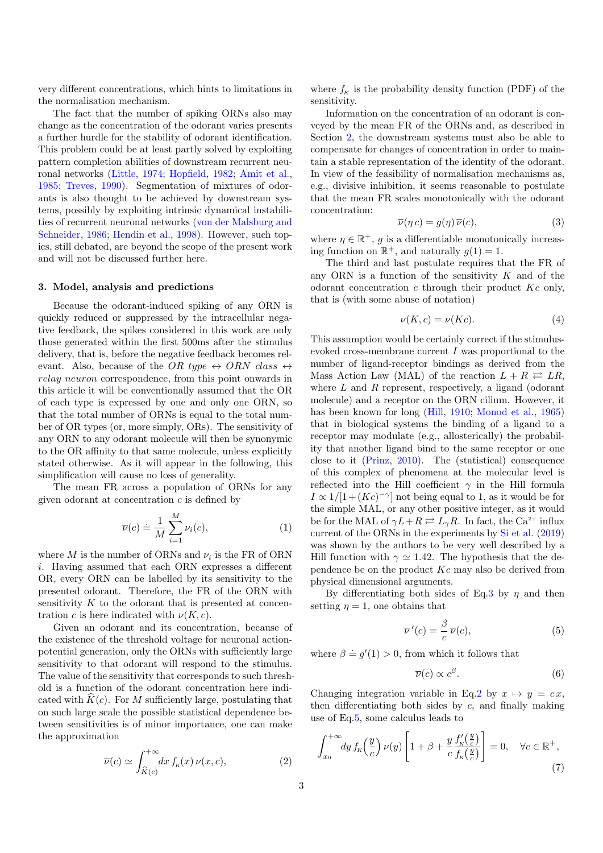very different concentrations, which hints to limitations in the normalisation mechanism.

The fact that the number of spiking ORNs also may change as the concentration of the odorant varies presents a further hurdle for the stability of odorant identification. This problem could be at least partly solved by exploiting pattern completion abilities of downstream recurrent neuronal networks [\(Little,](#page-8-14) [1974;](#page-8-14) [Hopfield,](#page-8-15) [1982;](#page-8-15) [Amit et al.,](#page-7-0) [1985;](#page-7-0) [Treves,](#page-8-16) [1990\)](#page-8-16). Segmentation of mixtures of odorants is also thought to be achieved by downstream systems, possibly by exploiting intrinsic dynamical instabilities of recurrent neuronal networks [\(von der Malsburg and](#page-8-17) [Schneider,](#page-8-17) [1986;](#page-8-17) [Hendin et al.,](#page-8-18) [1998\)](#page-8-18). However, such topics, still debated, are beyond the scope of the present work and will not be discussed further here.

### 3. Model, analysis and predictions

Because the odorant-induced spiking of any ORN is quickly reduced or suppressed by the intracellular negative feedback, the spikes considered in this work are only those generated within the first 500ms after the stimulus delivery, that is, before the negative feedback becomes relevant. Also, because of the OR type  $\leftrightarrow$  ORN class  $\leftrightarrow$ relay neuron correspondence, from this point onwards in this article it will be conventionally assumed that the OR of each type is expressed by one and only one ORN, so that the total number of ORNs is equal to the total number of OR types (or, more simply, ORs). The sensitivity of any ORN to any odorant molecule will then be synonymic to the OR affinity to that same molecule, unless explicitly stated otherwise. As it will appear in the following, this simplification will cause no loss of generality.

The mean FR across a population of ORNs for any given odorant at concentration  $c$  is defined by

$$
\overline{\nu}(c) \doteq \frac{1}{M} \sum_{i=1}^{M} \nu_i(c),\tag{1}
$$

where  $M$  is the number of ORNs and  $\nu_i$  is the FR of ORN i. Having assumed that each ORN expresses a different OR, every ORN can be labelled by its sensitivity to the presented odorant. Therefore, the FR of the ORN with sensitivity  $K$  to the odorant that is presented at concentration c is here indicated with  $\nu(K, c)$ .

Given an odorant and its concentration, because of the existence of the threshold voltage for neuronal actionpotential generation, only the ORNs with sufficiently large sensitivity to that odorant will respond to the stimulus. The value of the sensitivity that corresponds to such threshold is a function of the odorant concentration here indicated with  $K(c)$ . For M sufficiently large, postulating that on such large scale the possible statistical dependence between sensitivities is of minor importance, one can make the approximation

<span id="page-2-1"></span>
$$
\overline{\nu}(c) \simeq \int_{\widehat{K}(c)}^{+\infty} dx \, f_{\kappa}(x) \, \nu(x, c), \tag{2}
$$

where  $f_K$  is the probability density function (PDF) of the sensitivity.

Information on the concentration of an odorant is conveyed by the mean FR of the ORNs and, as described in Section [2,](#page-1-1) the downstream systems must also be able to compensate for changes of concentration in order to maintain a stable representation of the identity of the odorant. In view of the feasibility of normalisation mechanisms as, e.g., divisive inhibition, it seems reasonable to postulate that the mean FR scales monotonically with the odorant concentration:

<span id="page-2-0"></span>
$$
\overline{\nu}(\eta c) = g(\eta)\,\overline{\nu}(c),\tag{3}
$$

where  $\eta \in \mathbb{R}^+$ , g is a differentiable monotonically increasing function on  $\mathbb{R}^+$ , and naturally  $g(1) = 1$ .

The third and last postulate requires that the FR of any ORN is a function of the sensitivity  $K$  and of the odorant concentration  $c$  through their product  $Kc$  only, that is (with some abuse of notation)

$$
\nu(K, c) = \nu(Kc). \tag{4}
$$

This assumption would be certainly correct if the stimulusevoked cross-membrane current I was proportional to the number of ligand-receptor bindings as derived from the Mass Action Law (MAL) of the reaction  $L + R \rightleftarrows LR$ , where  $L$  and  $R$  represent, respectively, a ligand (odorant molecule) and a receptor on the ORN cilium. However, it has been known for long [\(Hill,](#page-8-19) [1910;](#page-8-19) [Monod et al.,](#page-8-20) [1965\)](#page-8-20) that in biological systems the binding of a ligand to a receptor may modulate (e.g., allosterically) the probability that another ligand bind to the same receptor or one close to it [\(Prinz,](#page-8-21) [2010\)](#page-8-21). The (statistical) consequence of this complex of phenomena at the molecular level is reflected into the Hill coefficient  $\gamma$  in the Hill formula  $I \propto 1/[1+(Kc)^{-\gamma}]$  not being equal to 1, as it would be for the simple MAL, or any other positive integer, as it would be for the MAL of  $\gamma L + R \rightleftarrows L_{\gamma}R$ . In fact, the Ca<sup>2+</sup> influx current of the ORNs in the experiments by [Si et al.](#page-8-22) [\(2019\)](#page-8-22) was shown by the authors to be very well described by a Hill function with  $\gamma \simeq 1.42$ . The hypothesis that the dependence be on the product  $Kc$  may also be derived from physical dimensional arguments.

By differentiating both sides of Eq[.3](#page-2-0) by  $\eta$  and then setting  $\eta = 1$ , one obtains that

<span id="page-2-2"></span>
$$
\overline{\nu}'(c) = \frac{\beta}{c} \,\overline{\nu}(c),\tag{5}
$$

where  $\beta \doteq g'(1) > 0$ , from which it follows that

$$
\overline{\nu}(c) \propto c^{\beta}.\tag{6}
$$

Changing integration variable in Eq[.2](#page-2-1) by  $x \mapsto y = cx$ . then differentiating both sides by  $c$ , and finally making use of Eq[.5,](#page-2-2) some calculus leads to

$$
\int_{x_0}^{+\infty} dy f_{\kappa}\left(\frac{y}{c}\right) \nu(y) \left[1 + \beta + \frac{y}{c} \frac{f_{\kappa}'\left(\frac{y}{c}\right)}{f_{\kappa}\left(\frac{y}{c}\right)}\right] = 0, \quad \forall c \in \mathbb{R}^+,
$$
\n(7)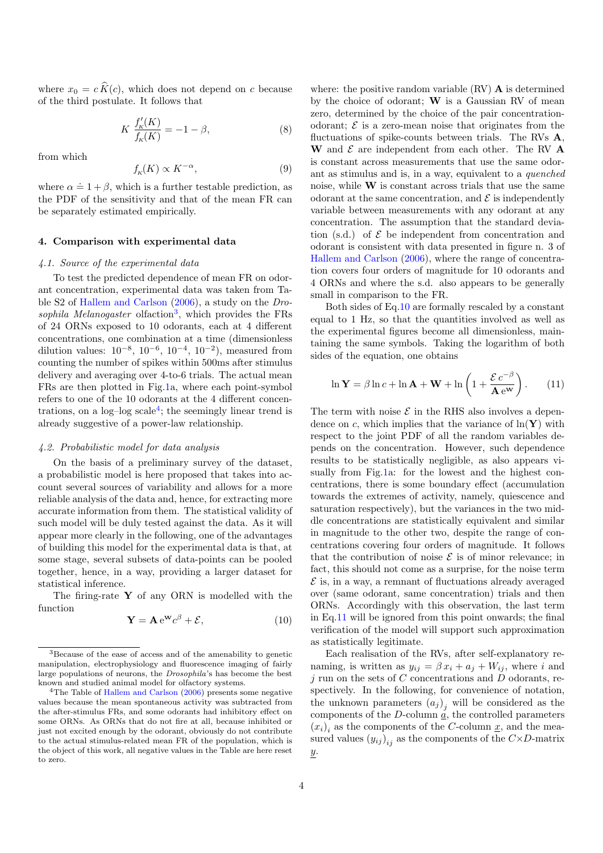where  $x_0 = c \hat{K}(c)$ , which does not depend on c because of the third postulate. It follows that

$$
K \frac{f'_{\kappa}(K)}{f_{\kappa}(K)} = -1 - \beta,
$$
 (8)

from which

$$
f_K(K) \propto K^{-\alpha},\tag{9}
$$

where  $\alpha \doteq 1 + \beta$ , which is a further testable prediction, as the PDF of the sensitivity and that of the mean FR can be separately estimated empirically.

# 4. Comparison with experimental data

#### 4.1. Source of the experimental data

To test the predicted dependence of mean FR on odorant concentration, experimental data was taken from Table S2 of [Hallem and Carlson](#page-8-23) [\(2006\)](#page-8-23), a study on the Dro-sophila Melanogaster olfaction<sup>[3](#page-3-0)</sup>, which provides the FRs of 24 ORNs exposed to 10 odorants, each at 4 different concentrations, one combination at a time (dimensionless dilution values:  $10^{-8}$ ,  $10^{-6}$ ,  $10^{-4}$ ,  $10^{-2}$ ), measured from counting the number of spikes within 500ms after stimulus delivery and averaging over 4-to-6 trials. The actual mean FRs are then plotted in Fig[.1a](#page-4-0), where each point-symbol refers to one of the 10 odorants at the 4 different concentrations, on a  $log-log scale<sup>4</sup>$  $log-log scale<sup>4</sup>$  $log-log scale<sup>4</sup>$ ; the seemingly linear trend is already suggestive of a power-law relationship.

#### 4.2. Probabilistic model for data analysis

On the basis of a preliminary survey of the dataset, a probabilistic model is here proposed that takes into account several sources of variability and allows for a more reliable analysis of the data and, hence, for extracting more accurate information from them. The statistical validity of such model will be duly tested against the data. As it will appear more clearly in the following, one of the advantages of building this model for the experimental data is that, at some stage, several subsets of data-points can be pooled together, hence, in a way, providing a larger dataset for statistical inference.

The firing-rate  $\bf{Y}$  of any ORN is modelled with the function

<span id="page-3-2"></span>
$$
\mathbf{Y} = \mathbf{A} e^{\mathbf{W}} c^{\beta} + \mathcal{E}, \tag{10}
$$

where: the positive random variable  $(RV)$   $\bf{A}$  is determined by the choice of odorant; W is a Gaussian RV of mean zero, determined by the choice of the pair concentrationodorant;  $\mathcal E$  is a zero-mean noise that originates from the fluctuations of spike-counts between trials. The RVs A, W and  $\mathcal E$  are independent from each other. The RV  $\mathbf A$ is constant across measurements that use the same odorant as stimulus and is, in a way, equivalent to a quenched noise, while  $W$  is constant across trials that use the same odorant at the same concentration, and  $\mathcal E$  is independently variable between measurements with any odorant at any concentration. The assumption that the standard deviation (s.d.) of  $\mathcal E$  be independent from concentration and odorant is consistent with data presented in figure n. 3 of [Hallem and Carlson](#page-8-23) [\(2006\)](#page-8-23), where the range of concentration covers four orders of magnitude for 10 odorants and 4 ORNs and where the s.d. also appears to be generally small in comparison to the FR.

Both sides of Eq[.10](#page-3-2) are formally rescaled by a constant equal to 1 Hz, so that the quantities involved as well as the experimental figures become all dimensionless, maintaining the same symbols. Taking the logarithm of both sides of the equation, one obtains

<span id="page-3-3"></span>
$$
\ln \mathbf{Y} = \beta \ln c + \ln \mathbf{A} + \mathbf{W} + \ln \left( 1 + \frac{\mathcal{E} c^{-\beta}}{\mathbf{A} e^{\mathbf{w}}} \right). \tag{11}
$$

The term with noise  $\mathcal E$  in the RHS also involves a dependence on c, which implies that the variance of  $ln(Y)$  with respect to the joint PDF of all the random variables depends on the concentration. However, such dependence results to be statistically negligible, as also appears visually from Fig[.1a](#page-4-0): for the lowest and the highest concentrations, there is some boundary effect (accumulation towards the extremes of activity, namely, quiescence and saturation respectively), but the variances in the two middle concentrations are statistically equivalent and similar in magnitude to the other two, despite the range of concentrations covering four orders of magnitude. It follows that the contribution of noise  $\mathcal E$  is of minor relevance; in fact, this should not come as a surprise, for the noise term  $\mathcal E$  is, in a way, a remnant of fluctuations already averaged over (same odorant, same concentration) trials and then ORNs. Accordingly with this observation, the last term in Eq[.11](#page-3-3) will be ignored from this point onwards; the final verification of the model will support such approximation as statistically legitimate.

Each realisation of the RVs, after self-explanatory renaming, is written as  $y_{ij} = \beta x_i + a_j + W_{ij}$ , where i and j run on the sets of  $C$  concentrations and  $D$  odorants, respectively. In the following, for convenience of notation, the unknown parameters  $(a_j)_j$  will be considered as the components of the D-column  $\underline{a}$ , the controlled parameters  $(x_i)_i$  as the components of the C-column  $\underline{x}$ , and the measured values  $(y_{ij})_{ij}$  as the components of the  $C\times D$ -matrix  $\hat{y}$ .

<span id="page-3-0"></span><sup>3</sup>Because of the ease of access and of the amenability to genetic manipulation, electrophysiology and fluorescence imaging of fairly large populations of neurons, the Drosophila's has become the best known and studied animal model for olfactory systems.

<span id="page-3-1"></span><sup>4</sup>The Table of [Hallem and Carlson](#page-8-23) [\(2006\)](#page-8-23) presents some negative values because the mean spontaneous activity was subtracted from the after-stimulus FRs, and some odorants had inhibitory effect on some ORNs. As ORNs that do not fire at all, because inhibited or just not excited enough by the odorant, obviously do not contribute to the actual stimulus-related mean FR of the population, which is the object of this work, all negative values in the Table are here reset to zero.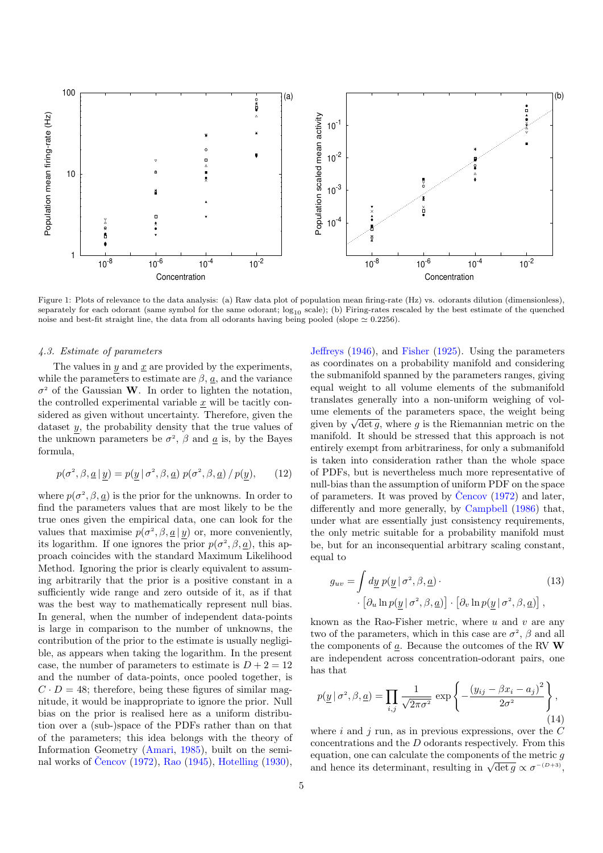

<span id="page-4-0"></span>Figure 1: Plots of relevance to the data analysis: (a) Raw data plot of population mean firing-rate (Hz) vs. odorants dilution (dimensionless), separately for each odorant (same symbol for the same odorant;  $log_{10}$  scale); (b) Firing-rates rescaled by the best estimate of the quenched noise and best-fit straight line, the data from all odorants having being pooled (slope  $\simeq 0.2256$ ).

#### 4.3. Estimate of parameters

The values in  $y$  and  $\underline{x}$  are provided by the experiments, while the parameters to estimate are  $\beta$ ,  $\underline{a}$ , and the variance  $\sigma^2$  of the Gaussian W. In order to lighten the notation, the controlled experimental variable  $x$  will be tacitly considered as given without uncertainty. Therefore, given the dataset y, the probability density that the true values of the unknown parameters be  $\sigma^2$ ,  $\beta$  and <u>a</u> is, by the Bayes formula,

<span id="page-4-1"></span>
$$
p(\sigma^2, \beta, \underline{a} \mid \underline{y}) = p(\underline{y} \mid \sigma^2, \beta, \underline{a}) \ p(\sigma^2, \beta, \underline{a}) / p(\underline{y}), \qquad (12)
$$

where  $p(\sigma^2, \beta, \underline{a})$  is the prior for the unknowns. In order to find the parameters values that are most likely to be the true ones given the empirical data, one can look for the values that maximise  $p(\sigma^2, \beta, \underline{a} | y)$  or, more conveniently, its logarithm. If one ignores the prior  $p(\sigma^2, \beta, \underline{a})$ , this approach coincides with the standard Maximum Likelihood Method. Ignoring the prior is clearly equivalent to assuming arbitrarily that the prior is a positive constant in a sufficiently wide range and zero outside of it, as if that was the best way to mathematically represent null bias. In general, when the number of independent data-points is large in comparison to the number of unknowns, the contribution of the prior to the estimate is usually negligible, as appears when taking the logarithm. In the present case, the number of parameters to estimate is  $D + 2 = 12$ and the number of data-points, once pooled together, is  $C \cdot D = 48$ ; therefore, being these figures of similar magnitude, it would be inappropriate to ignore the prior. Null bias on the prior is realised here as a uniform distribution over a (sub-)space of the PDFs rather than on that of the parameters; this idea belongs with the theory of Information Geometry [\(Amari,](#page-7-1) [1985\)](#page-7-1), built on the semi-nal works of [Cencov](#page-8-24)  $(1972)$ , [Rao](#page-8-25)  $(1945)$ , [Hotelling](#page-8-26)  $(1930)$ ,

[Jeffreys](#page-8-27) [\(1946\)](#page-8-27), and [Fisher](#page-8-28) [\(1925\)](#page-8-28). Using the parameters as coordinates on a probability manifold and considering the submanifold spanned by the parameters ranges, giving equal weight to all volume elements of the submanifold translates generally into a non-uniform weighing of volume elements of the parameters space, the weight being ume elements of the parameters space, the weight being<br>given by  $\sqrt{\det g}$ , where g is the Riemannian metric on the manifold. It should be stressed that this approach is not entirely exempt from arbitrariness, for only a submanifold is taken into consideration rather than the whole space of PDFs, but is nevertheless much more representative of null-bias than the assumption of uniform PDF on the space of parameters. It was proved by  $\dot{C}$ encov  $(1972)$  and later, differently and more generally, by [Campbell](#page-8-29) [\(1986\)](#page-8-29) that, under what are essentially just consistency requirements, the only metric suitable for a probability manifold must be, but for an inconsequential arbitrary scaling constant, equal to

$$
g_{uv} = \int d\underline{y} \ p(\underline{y} \mid \sigma^2, \beta, \underline{a}) \cdot \left[ \partial_u \ln p(\underline{y} \mid \sigma^2, \beta, \underline{a}) \right] \cdot \left[ \partial_v \ln p(\underline{y} \mid \sigma^2, \beta, \underline{a}) \right], \tag{13}
$$

known as the Rao-Fisher metric, where  $u$  and  $v$  are any two of the parameters, which in this case are  $\sigma^2$ ,  $\beta$  and all the components of  $\underline{a}$ . Because the outcomes of the RV W are independent across concentration-odorant pairs, one has that

$$
p(\underline{y} \mid \sigma^2, \beta, \underline{a}) = \prod_{i,j} \frac{1}{\sqrt{2\pi\sigma^2}} \exp\left\{-\frac{(y_{ij} - \beta x_i - a_j)^2}{2\sigma^2}\right\},\tag{14}
$$

where i and j run, as in previous expressions, over the  $C$ concentrations and the D odorants respectively. From this equation, one can calculate the components of the metric  $g$ equation, one can calculate the components of the metric y and hence its determinant, resulting in  $\sqrt{\det g} \propto \sigma^{-(D+3)}$ ,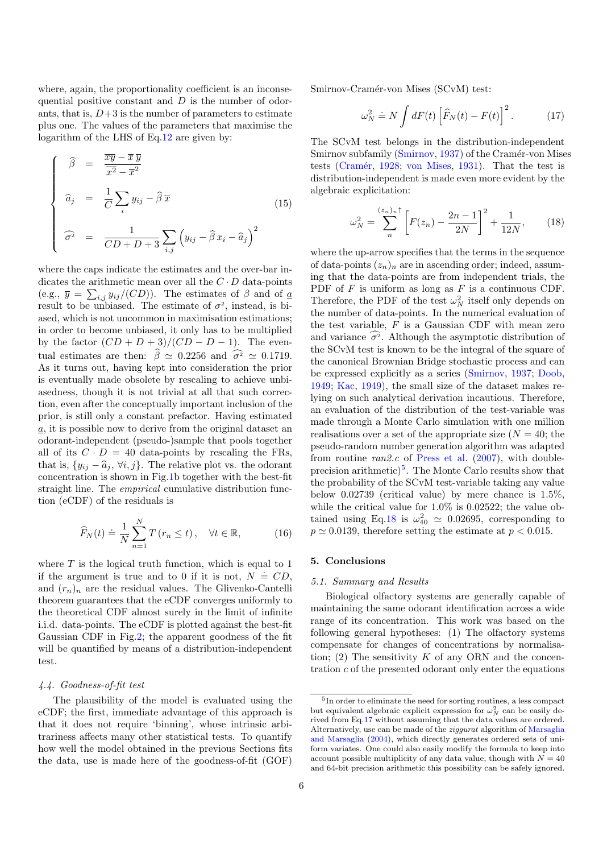where, again, the proportionality coefficient is an inconsequential positive constant and  $D$  is the number of odorants, that is,  $D+3$  is the number of parameters to estimate plus one. The values of the parameters that maximise the logarithm of the LHS of Eq[.12](#page-4-1) are given by:

$$
\begin{cases}\n\hat{\beta} = \frac{\overline{xy} - \overline{x}\,\overline{y}}{\overline{x^2} - \overline{x}^2} \\
\hat{a}_j = \frac{1}{C} \sum_i y_{ij} - \hat{\beta}\,\overline{x} \\
\hat{\sigma}^2 = \frac{1}{CD + D + 3} \sum_{i,j} (y_{ij} - \hat{\beta}\,x_i - \hat{a}_j)^2\n\end{cases}
$$
\n(15)

where the caps indicate the estimates and the over-bar indicates the arithmetic mean over all the  $C \cdot D$  data-points (e.g.,  $\overline{y} = \sum_{i,j} y_{ij}/(CD)$ ). The estimates of  $\beta$  and of  $\underline{a}$ result to be unbiased. The estimate of  $\sigma^2$ , instead, is biased, which is not uncommon in maximisation estimations; in order to become unbiased, it only has to be multiplied by the factor  $(CD + D + 3)/(CD - D - 1)$ . The eventual estimates are then:  $\beta \simeq 0.2256$  and  $\sigma^2 \simeq 0.1719$ . As it turns out, having kept into consideration the prior is eventually made obsolete by rescaling to achieve unbiasedness, though it is not trivial at all that such correction, even after the conceptually important inclusion of the prior, is still only a constant prefactor. Having estimated a, it is possible now to derive from the original dataset an odorant-independent (pseudo-)sample that pools together all of its  $C \cdot D = 40$  data-points by rescaling the FRs, that is,  $\{y_{ij} - \hat{a}_j, \forall i, j\}$ . The relative plot vs. the odorant concentration is shown in Fig[.1b](#page-4-0) together with the best-fit straight line. The *empirical* cumulative distribution function (eCDF) of the residuals is

$$
\widehat{F}_N(t) \doteq \frac{1}{N} \sum_{n=1}^N T(r_n \le t), \quad \forall t \in \mathbb{R}, \tag{16}
$$

where  $T$  is the logical truth function, which is equal to 1 if the argument is true and to 0 if it is not,  $N = CD$ , and  $(r_n)_n$  are the residual values. The Glivenko-Cantelli theorem guarantees that the eCDF converges uniformly to the theoretical CDF almost surely in the limit of infinite i.i.d. data-points. The eCDF is plotted against the best-fit Gaussian CDF in Fig[.2;](#page-6-0) the apparent goodness of the fit will be quantified by means of a distribution-independent test.

# 4.4. Goodness-of-fit test

The plausibility of the model is evaluated using the eCDF; the first, immediate advantage of this approach is that it does not require 'binning', whose intrinsic arbitrariness affects many other statistical tests. To quantify how well the model obtained in the previous Sections fits the data, use is made here of the goodness-of-fit (GOF)

Smirnov-Cramér-von Mises (SCvM) test:

<span id="page-5-2"></span>
$$
\omega_N^2 \doteq N \int dF(t) \left[ \widehat{F}_N(t) - F(t) \right]^2. \tag{17}
$$

The SCvM test belongs in the distribution-independent Smirnov subfamily [\(Smirnov,](#page-8-30) [1937\)](#page-8-30) of the Cramér-von Mises tests (Cramér, [1928;](#page-8-31) [von Mises,](#page-8-32) [1931\)](#page-8-32). That the test is distribution-independent is made even more evident by the algebraic explicitation:

<span id="page-5-1"></span>
$$
\omega_N^2 = \sum_{n=0}^{(z_n)_n} \left[ F(z_n) - \frac{2n-1}{2N} \right]^2 + \frac{1}{12N},\qquad(18)
$$

where the up-arrow specifies that the terms in the sequence of data-points  $(z_n)_n$  are in ascending order; indeed, assuming that the data-points are from independent trials, the PDF of  $F$  is uniform as long as  $F$  is a continuous CDF. Therefore, the PDF of the test  $\omega_N^2$  itself only depends on the number of data-points. In the numerical evaluation of the test variable,  $F$  is a Gaussian CDF with mean zero and variance  $\sigma^2$ . Although the asymptotic distribution of the SCvM test is known to be the integral of the square of the canonical Brownian Bridge stochastic process and can be expressed explicitly as a series [\(Smirnov,](#page-8-30) [1937;](#page-8-30) [Doob,](#page-8-33) [1949;](#page-8-33) [Kac,](#page-8-34) [1949\)](#page-8-34), the small size of the dataset makes relying on such analytical derivation incautious. Therefore, an evaluation of the distribution of the test-variable was made through a Monte Carlo simulation with one million realisations over a set of the appropriate size  $(N = 40;$  the pseudo-random number generation algorithm was adapted from routine  $ran2.c$  of [Press et al.](#page-8-35) [\(2007\)](#page-8-35), with doubleprecision arithmetic $)^5$  $)^5$ . The Monte Carlo results show that the probability of the SCvM test-variable taking any value below 0.02739 (critical value) by mere chance is 1.5%, while the critical value for 1.0% is 0.02522; the value ob-tained using Eq[.18](#page-5-1) is  $\omega_{40}^2 \simeq 0.02695$ , corresponding to  $p \approx 0.0139$ , therefore setting the estimate at  $p < 0.015$ .

#### 5. Conclusions

#### 5.1. Summary and Results

Biological olfactory systems are generally capable of maintaining the same odorant identification across a wide range of its concentration. This work was based on the following general hypotheses: (1) The olfactory systems compensate for changes of concentrations by normalisation; (2) The sensitivity  $K$  of any ORN and the concentration  $c$  of the presented odorant only enter the equations

<span id="page-5-0"></span><sup>5</sup> In order to eliminate the need for sorting routines, a less compact but equivalent algebraic explicit expression for  $\omega_N^2$  can be easily derived from Eq[.17](#page-5-2) without assuming that the data values are ordered. Alternatively, use can be made of the ziggurat algorithm of [Marsaglia](#page-8-36) [and Marsaglia](#page-8-36) [\(2004\)](#page-8-36), which directly generates ordered sets of uniform variates. One could also easily modify the formula to keep into account possible multiplicity of any data value, though with  $N = 40$ and 64-bit precision arithmetic this possibility can be safely ignored.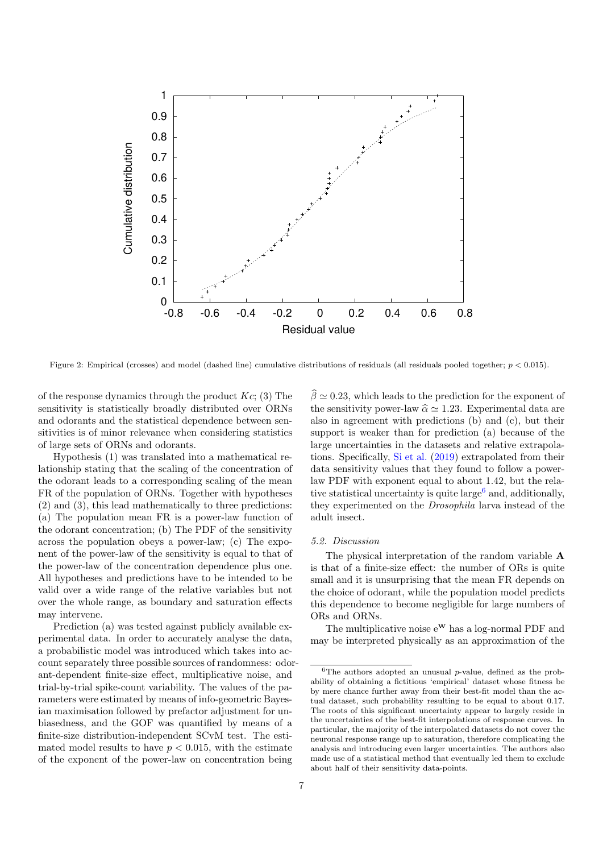

<span id="page-6-0"></span>Figure 2: Empirical (crosses) and model (dashed line) cumulative distributions of residuals (all residuals pooled together;  $p < 0.015$ ).

of the response dynamics through the product  $Kc$ ; (3) The sensitivity is statistically broadly distributed over ORNs and odorants and the statistical dependence between sensitivities is of minor relevance when considering statistics of large sets of ORNs and odorants.

Hypothesis (1) was translated into a mathematical relationship stating that the scaling of the concentration of the odorant leads to a corresponding scaling of the mean FR of the population of ORNs. Together with hypotheses (2) and (3), this lead mathematically to three predictions: (a) The population mean FR is a power-law function of the odorant concentration; (b) The PDF of the sensitivity across the population obeys a power-law; (c) The exponent of the power-law of the sensitivity is equal to that of the power-law of the concentration dependence plus one. All hypotheses and predictions have to be intended to be valid over a wide range of the relative variables but not over the whole range, as boundary and saturation effects may intervene.

Prediction (a) was tested against publicly available experimental data. In order to accurately analyse the data, a probabilistic model was introduced which takes into account separately three possible sources of randomness: odorant-dependent finite-size effect, multiplicative noise, and trial-by-trial spike-count variability. The values of the parameters were estimated by means of info-geometric Bayesian maximisation followed by prefactor adjustment for unbiasedness, and the GOF was quantified by means of a finite-size distribution-independent SCvM test. The estimated model results to have  $p < 0.015$ , with the estimate of the exponent of the power-law on concentration being

 $\hat{\beta} \simeq 0.23$ , which leads to the prediction for the exponent of the sensitivity power-law  $\hat{\alpha} \simeq 1.23$ . Experimental data are also in agreement with predictions (b) and (c), but their support is weaker than for prediction (a) because of the large uncertainties in the datasets and relative extrapolations. Specifically, [Si et al.](#page-8-22) [\(2019\)](#page-8-22) extrapolated from their data sensitivity values that they found to follow a powerlaw PDF with exponent equal to about 1.42, but the rela-tive statistical uncertainty is quite large<sup>[6](#page-6-1)</sup> and, additionally, they experimented on the Drosophila larva instead of the adult insect.

### 5.2. Discussion

The physical interpretation of the random variable A is that of a finite-size effect: the number of ORs is quite small and it is unsurprising that the mean FR depends on the choice of odorant, while the population model predicts this dependence to become negligible for large numbers of ORs and ORNs.

The multiplicative noise  $e^{\mathbf{w}}$  has a log-normal PDF and may be interpreted physically as an approximation of the

<span id="page-6-1"></span> ${}^{6}$ The authors adopted an unusual p-value, defined as the probability of obtaining a fictitious 'empirical' dataset whose fitness be by mere chance further away from their best-fit model than the actual dataset, such probability resulting to be equal to about 0.17. The roots of this significant uncertainty appear to largely reside in the uncertainties of the best-fit interpolations of response curves. In particular, the majority of the interpolated datasets do not cover the neuronal response range up to saturation, therefore complicating the analysis and introducing even larger uncertainties. The authors also made use of a statistical method that eventually led them to exclude about half of their sensitivity data-points.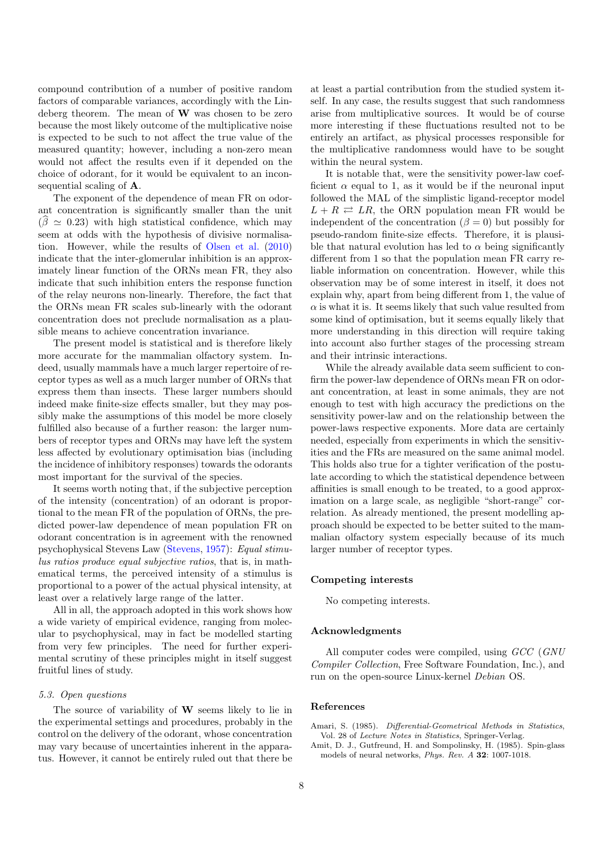compound contribution of a number of positive random factors of comparable variances, accordingly with the Lindeberg theorem. The mean of  $W$  was chosen to be zero because the most likely outcome of the multiplicative noise is expected to be such to not affect the true value of the measured quantity; however, including a non-zero mean would not affect the results even if it depended on the choice of odorant, for it would be equivalent to an inconsequential scaling of A.

The exponent of the dependence of mean FR on odorant concentration is significantly smaller than the unit  $(\beta \simeq 0.23)$  with high statistical confidence, which may seem at odds with the hypothesis of divisive normalisation. However, while the results of [Olsen et al.](#page-8-13) [\(2010\)](#page-8-13) indicate that the inter-glomerular inhibition is an approximately linear function of the ORNs mean FR, they also indicate that such inhibition enters the response function of the relay neurons non-linearly. Therefore, the fact that the ORNs mean FR scales sub-linearly with the odorant concentration does not preclude normalisation as a plausible means to achieve concentration invariance.

The present model is statistical and is therefore likely more accurate for the mammalian olfactory system. Indeed, usually mammals have a much larger repertoire of receptor types as well as a much larger number of ORNs that express them than insects. These larger numbers should indeed make finite-size effects smaller, but they may possibly make the assumptions of this model be more closely fulfilled also because of a further reason: the larger numbers of receptor types and ORNs may have left the system less affected by evolutionary optimisation bias (including the incidence of inhibitory responses) towards the odorants most important for the survival of the species.

It seems worth noting that, if the subjective perception of the intensity (concentration) of an odorant is proportional to the mean FR of the population of ORNs, the predicted power-law dependence of mean population FR on odorant concentration is in agreement with the renowned psychophysical Stevens Law [\(Stevens,](#page-8-37) [1957\)](#page-8-37): Equal stimulus ratios produce equal subjective ratios, that is, in mathematical terms, the perceived intensity of a stimulus is proportional to a power of the actual physical intensity, at least over a relatively large range of the latter.

All in all, the approach adopted in this work shows how a wide variety of empirical evidence, ranging from molecular to psychophysical, may in fact be modelled starting from very few principles. The need for further experimental scrutiny of these principles might in itself suggest fruitful lines of study.

### 5.3. Open questions

The source of variability of  $W$  seems likely to lie in the experimental settings and procedures, probably in the control on the delivery of the odorant, whose concentration may vary because of uncertainties inherent in the apparatus. However, it cannot be entirely ruled out that there be at least a partial contribution from the studied system itself. In any case, the results suggest that such randomness arise from multiplicative sources. It would be of course more interesting if these fluctuations resulted not to be entirely an artifact, as physical processes responsible for the multiplicative randomness would have to be sought within the neural system.

It is notable that, were the sensitivity power-law coefficient  $\alpha$  equal to 1, as it would be if the neuronal input followed the MAL of the simplistic ligand-receptor model  $L + R \rightleftarrows LR$ , the ORN population mean FR would be independent of the concentration ( $\beta = 0$ ) but possibly for pseudo-random finite-size effects. Therefore, it is plausible that natural evolution has led to  $\alpha$  being significantly different from 1 so that the population mean FR carry reliable information on concentration. However, while this observation may be of some interest in itself, it does not explain why, apart from being different from 1, the value of  $\alpha$  is what it is. It seems likely that such value resulted from some kind of optimisation, but it seems equally likely that more understanding in this direction will require taking into account also further stages of the processing stream and their intrinsic interactions.

While the already available data seem sufficient to confirm the power-law dependence of ORNs mean FR on odorant concentration, at least in some animals, they are not enough to test with high accuracy the predictions on the sensitivity power-law and on the relationship between the power-laws respective exponents. More data are certainly needed, especially from experiments in which the sensitivities and the FRs are measured on the same animal model. This holds also true for a tighter verification of the postulate according to which the statistical dependence between affinities is small enough to be treated, to a good approximation on a large scale, as negligible "short-range" correlation. As already mentioned, the present modelling approach should be expected to be better suited to the mammalian olfactory system especially because of its much larger number of receptor types.

#### Competing interests

No competing interests.

# Acknowledgments

All computer codes were compiled, using GCC (GNU Compiler Collection, Free Software Foundation, Inc.), and run on the open-source Linux-kernel Debian OS.

#### References

<span id="page-7-1"></span>Amari, S. (1985). Differential-Geometrical Methods in Statistics, Vol. 28 of Lecture Notes in Statistics, Springer-Verlag.

<span id="page-7-0"></span>Amit, D. J., Gutfreund, H. and Sompolinsky, H. (1985). Spin-glass models of neural networks, Phys. Rev. A 32: 1007-1018.